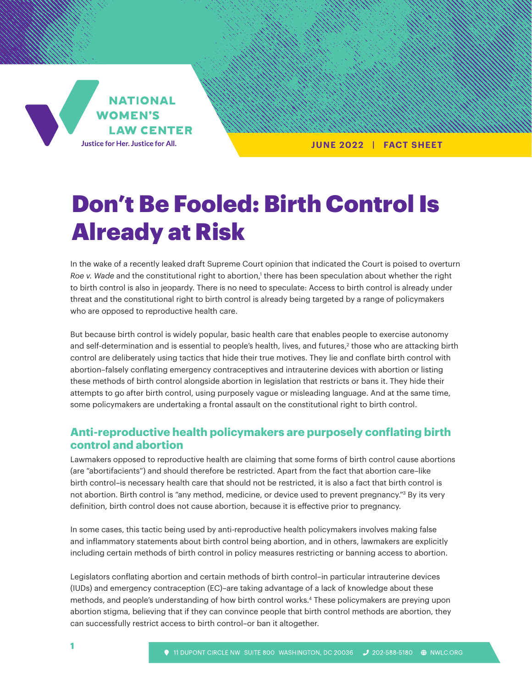

**JUNE 2022 | FACT SHEET**

# Don't Be Fooled: Birth Control Is Already at Risk

In the wake of a recently leaked draft Supreme Court opinion that indicated the Court is poised to overturn Roe v. Wade and the constitutional right to abortion,<sup>1</sup> there has been speculation about whether the right to birth control is also in jeopardy. There is no need to speculate: Access to birth control is already under threat and the constitutional right to birth control is already being targeted by a range of policymakers who are opposed to reproductive health care.

But because birth control is widely popular, basic health care that enables people to exercise autonomy and self-determination and is essential to people's health, lives, and futures,<sup>2</sup> those who are attacking birth control are deliberately using tactics that hide their true motives. They lie and conflate birth control with abortion–falsely conflating emergency contraceptives and intrauterine devices with abortion or listing these methods of birth control alongside abortion in legislation that restricts or bans it. They hide their attempts to go after birth control, using purposely vague or misleading language. And at the same time, some policymakers are undertaking a frontal assault on the constitutional right to birth control.

# **Anti-reproductive health policymakers are purposely conflating birth control and abortion**

Lawmakers opposed to reproductive health are claiming that some forms of birth control cause abortions (are "abortifacients") and should therefore be restricted. Apart from the fact that abortion care–like birth control–is necessary health care that should not be restricted, it is also a fact that birth control is not abortion. Birth control is "any method, medicine, or device used to prevent pregnancy."<sup>3</sup> By its very definition, birth control does not cause abortion, because it is effective prior to pregnancy.

In some cases, this tactic being used by anti-reproductive health policymakers involves making false and inflammatory statements about birth control being abortion, and in others, lawmakers are explicitly including certain methods of birth control in policy measures restricting or banning access to abortion.

Legislators conflating abortion and certain methods of birth control–in particular intrauterine devices (IUDs) and emergency contraception (EC)–are taking advantage of a lack of knowledge about these methods, and people's understanding of how birth control works.4 These policymakers are preying upon abortion stigma, believing that if they can convince people that birth control methods are abortion, they can successfully restrict access to birth control–or ban it altogether.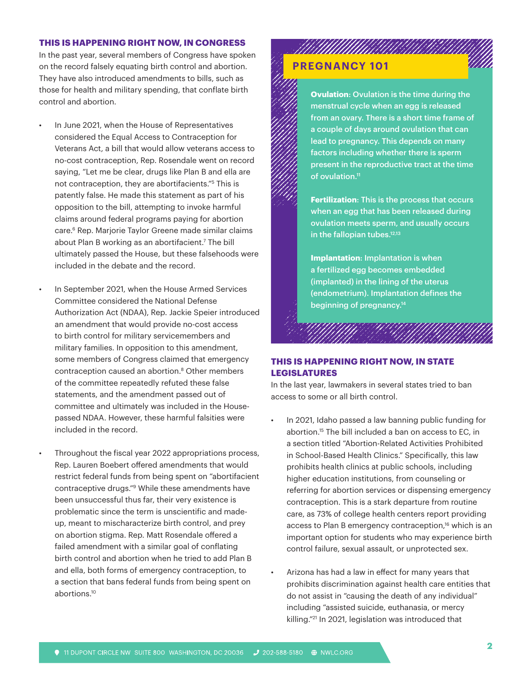#### **THIS IS HAPPENING RIGHT NOW, IN CONGRESS**

In the past year, several members of Congress have spoken on the record falsely equating birth control and abortion. They have also introduced amendments to bills, such as those for health and military spending, that conflate birth control and abortion.

- In June 2021, when the House of Representatives considered the Equal Access to Contraception for Veterans Act, a bill that would allow veterans access to no-cost contraception, Rep. Rosendale went on record saying, "Let me be clear, drugs like Plan B and ella are not contraception, they are abortifacients."5 This is patently false. He made this statement as part of his opposition to the bill, attempting to invoke harmful claims around federal programs paying for abortion care.6 Rep. Marjorie Taylor Greene made similar claims about Plan B working as an abortifacient.7 The bill ultimately passed the House, but these falsehoods were included in the debate and the record.
- In September 2021, when the House Armed Services Committee considered the National Defense Authorization Act (NDAA), Rep. Jackie Speier introduced an amendment that would provide no-cost access to birth control for military servicemembers and military families. In opposition to this amendment, some members of Congress claimed that emergency contraception caused an abortion.<sup>8</sup> Other members of the committee repeatedly refuted these false statements, and the amendment passed out of committee and ultimately was included in the Housepassed NDAA. However, these harmful falsities were included in the record.
	- Throughout the fiscal year 2022 appropriations process, Rep. Lauren Boebert offered amendments that would restrict federal funds from being spent on "abortifacient contraceptive drugs."9 While these amendments have been unsuccessful thus far, their very existence is problematic since the term is unscientific and madeup, meant to mischaracterize birth control, and prey on abortion stigma. Rep. Matt Rosendale offered a failed amendment with a similar goal of conflating birth control and abortion when he tried to add Plan B and ella, both forms of emergency contraception, to a section that bans federal funds from being spent on abortions.10

# **PREGNANCY 101**



**Fertilization**: This is the process that occurs when an egg that has been released during ovulation meets sperm, and usually occurs in the fallopian tubes.<sup>12,13</sup>

**Implantation**: Implantation is when a fertilized egg becomes embedded (implanted) in the lining of the uterus (endometrium). Implantation defines the beginning of pregnancy.14

### **THIS IS HAPPENING RIGHT NOW, IN STATE LEGISLATURES**

In the last year, lawmakers in several states tried to ban access to some or all birth control.

- In 2021, Idaho passed a law banning public funding for abortion.15 The bill included a ban on access to EC, in a section titled "Abortion-Related Activities Prohibited in School-Based Health Clinics." Specifically, this law prohibits health clinics at public schools, including higher education institutions, from counseling or referring for abortion services or dispensing emergency contraception. This is a stark departure from routine care, as 73% of college health centers report providing access to Plan B emergency contraception,<sup>16</sup> which is an important option for students who may experience birth control failure, sexual assault, or unprotected sex.
- Arizona has had a law in effect for many years that prohibits discrimination against health care entities that do not assist in "causing the death of any individual" including "assisted suicide, euthanasia, or mercy killing."21 In 2021, legislation was introduced that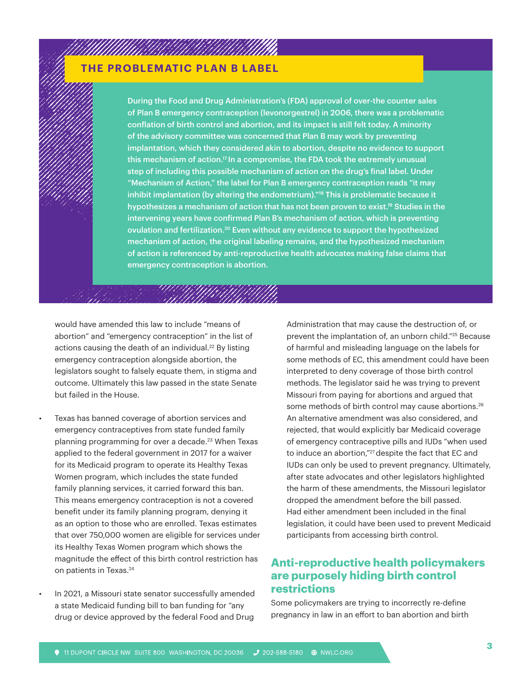# **THE PROBLEMATIC PLAN B LABEL**

MAANIA ANTAHINA

During the Food and Drug Administration's (FDA) approval of over-the counter sales of Plan B emergency contraception (levonorgestrel) in 2006, there was a problematic conflation of birth control and abortion, and its impact is still felt today. A minority of the advisory committee was concerned that Plan B may work by preventing implantation, which they considered akin to abortion, despite no evidence to support this mechanism of action.17 In a compromise, the FDA took the extremely unusual step of including this possible mechanism of action on the drug's final label. Under "Mechanism of Action," the label for Plan B emergency contraception reads "it may inhibit implantation (by altering the endometrium)."<sup>18</sup> This is problematic because it hypothesizes a mechanism of action that has not been proven to exist.<sup>19</sup> Studies in the intervening years have confirmed Plan B's mechanism of action, which is preventing ovulation and fertilization.<sup>20</sup> Even without any evidence to support the hypothesized mechanism of action, the original labeling remains, and the hypothesized mechanism of action is referenced by anti-reproductive health advocates making false claims that emergency contraception is abortion.

would have amended this law to include "means of abortion" and "emergency contraception" in the list of actions causing the death of an individual.<sup>22</sup> By listing emergency contraception alongside abortion, the legislators sought to falsely equate them, in stigma and outcome. Ultimately this law passed in the state Senate but failed in the House.

UNING UGA

- Texas has banned coverage of abortion services and emergency contraceptives from state funded family planning programming for over a decade.<sup>23</sup> When Texas applied to the federal government in 2017 for a waiver for its Medicaid program to operate its Healthy Texas Women program, which includes the state funded family planning services, it carried forward this ban. This means emergency contraception is not a covered benefit under its family planning program, denying it as an option to those who are enrolled. Texas estimates that over 750,000 women are eligible for services under its Healthy Texas Women program which shows the magnitude the effect of this birth control restriction has on patients in Texas.<sup>24</sup>
- In 2021, a Missouri state senator successfully amended a state Medicaid funding bill to ban funding for "any drug or device approved by the federal Food and Drug

Administration that may cause the destruction of, or prevent the implantation of, an unborn child."25 Because of harmful and misleading language on the labels for some methods of EC, this amendment could have been interpreted to deny coverage of those birth control methods. The legislator said he was trying to prevent Missouri from paying for abortions and argued that some methods of birth control may cause abortions.<sup>26</sup> An alternative amendment was also considered, and rejected, that would explicitly bar Medicaid coverage of emergency contraceptive pills and IUDs "when used to induce an abortion,"<sup>27</sup> despite the fact that EC and IUDs can only be used to prevent pregnancy. Ultimately, after state advocates and other legislators highlighted the harm of these amendments, the Missouri legislator dropped the amendment before the bill passed. Had either amendment been included in the final legislation, it could have been used to prevent Medicaid participants from accessing birth control.

# **Anti-reproductive health policymakers are purposely hiding birth control restrictions**

Some policymakers are trying to incorrectly re-define pregnancy in law in an effort to ban abortion and birth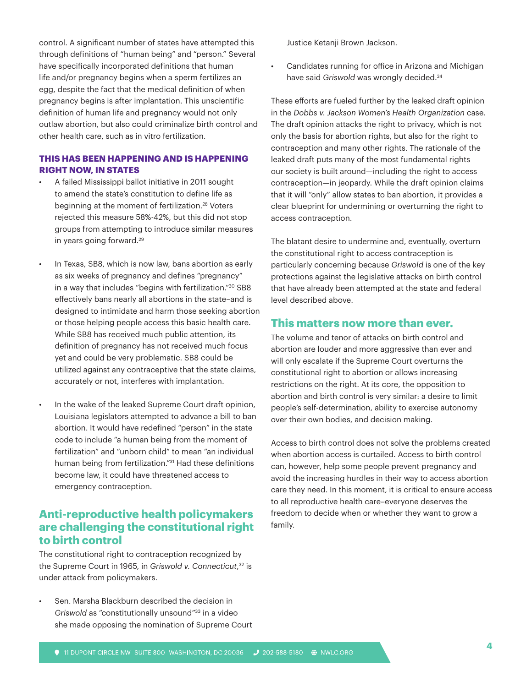control. A significant number of states have attempted this through definitions of "human being" and "person." Several have specifically incorporated definitions that human life and/or pregnancy begins when a sperm fertilizes an egg, despite the fact that the medical definition of when pregnancy begins is after implantation. This unscientific definition of human life and pregnancy would not only outlaw abortion, but also could criminalize birth control and other health care, such as in vitro fertilization.

### **THIS HAS BEEN HAPPENING AND IS HAPPENING RIGHT NOW, IN STATES**

- A failed Mississippi ballot initiative in 2011 sought to amend the state's constitution to define life as beginning at the moment of fertilization.<sup>28</sup> Voters rejected this measure 58%-42%, but this did not stop groups from attempting to introduce similar measures in years going forward.29
- In Texas, SB8, which is now law, bans abortion as early as six weeks of pregnancy and defines "pregnancy" in a way that includes "begins with fertilization."30 SB8 effectively bans nearly all abortions in the state–and is designed to intimidate and harm those seeking abortion or those helping people access this basic health care. While SB8 has received much public attention, its definition of pregnancy has not received much focus yet and could be very problematic. SB8 could be utilized against any contraceptive that the state claims, accurately or not, interferes with implantation.
- In the wake of the leaked Supreme Court draft opinion, Louisiana legislators attempted to advance a bill to ban abortion. It would have redefined "person" in the state code to include "a human being from the moment of fertilization" and "unborn child" to mean "an individual human being from fertilization."<sup>31</sup> Had these definitions become law, it could have threatened access to emergency contraception.

# **Anti-reproductive health policymakers are challenging the constitutional right to birth control**

The constitutional right to contraception recognized by the Supreme Court in 1965, in *Griswold v. Connecticut*, 32 is under attack from policymakers.

Sen. Marsha Blackburn described the decision in *Griswold* as "constitutionally unsound"33 in a video she made opposing the nomination of Supreme Court Justice Ketanji Brown Jackson.

• Candidates running for office in Arizona and Michigan have said *Griswold* was wrongly decided.34

These efforts are fueled further by the leaked draft opinion in the *Dobbs v. Jackson Women's Health Organization* case. The draft opinion attacks the right to privacy, which is not only the basis for abortion rights, but also for the right to contraception and many other rights. The rationale of the leaked draft puts many of the most fundamental rights our society is built around—including the right to access contraception—in jeopardy. While the draft opinion claims that it will "only" allow states to ban abortion, it provides a clear blueprint for undermining or overturning the right to access contraception.

The blatant desire to undermine and, eventually, overturn the constitutional right to access contraception is particularly concerning because *Griswold* is one of the key protections against the legislative attacks on birth control that have already been attempted at the state and federal level described above.

## **This matters now more than ever.**

The volume and tenor of attacks on birth control and abortion are louder and more aggressive than ever and will only escalate if the Supreme Court overturns the constitutional right to abortion or allows increasing restrictions on the right. At its core, the opposition to abortion and birth control is very similar: a desire to limit people's self-determination, ability to exercise autonomy over their own bodies, and decision making.

Access to birth control does not solve the problems created when abortion access is curtailed. Access to birth control can, however, help some people prevent pregnancy and avoid the increasing hurdles in their way to access abortion care they need. In this moment, it is critical to ensure access to all reproductive health care–everyone deserves the freedom to decide when or whether they want to grow a family.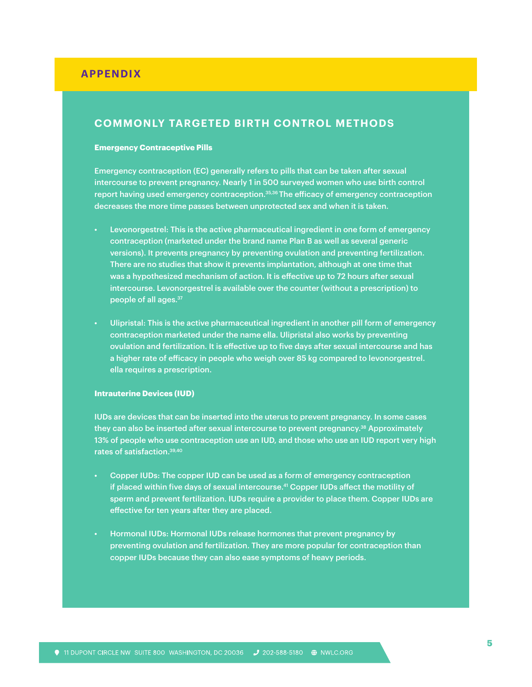## **APPENDIX**

## **COMMONLY TARGETED BIRTH CONTROL METHODS**

#### **Emergency Contraceptive Pills**

Emergency contraception (EC) generally refers to pills that can be taken after sexual intercourse to prevent pregnancy. Nearly 1 in 500 surveyed women who use birth control report having used emergency contraception.<sup>35,36</sup> The efficacy of emergency contraception decreases the more time passes between unprotected sex and when it is taken.

- Levonorgestrel: This is the active pharmaceutical ingredient in one form of emergency contraception (marketed under the brand name Plan B as well as several generic versions). It prevents pregnancy by preventing ovulation and preventing fertilization. There are no studies that show it prevents implantation, although at one time that was a hypothesized mechanism of action. It is effective up to 72 hours after sexual intercourse. Levonorgestrel is available over the counter (without a prescription) to people of all ages.37
- Ulipristal: This is the active pharmaceutical ingredient in another pill form of emergency contraception marketed under the name ella. Ulipristal also works by preventing ovulation and fertilization. It is effective up to five days after sexual intercourse and has a higher rate of efficacy in people who weigh over 85 kg compared to levonorgestrel. ella requires a prescription.

#### **Intrauterine Devices (IUD)**

IUDs are devices that can be inserted into the uterus to prevent pregnancy. In some cases they can also be inserted after sexual intercourse to prevent pregnancy.<sup>38</sup> Approximately 13% of people who use contraception use an IUD, and those who use an IUD report very high rates of satisfaction.39,40

- Copper IUDs: The copper IUD can be used as a form of emergency contraception if placed within five days of sexual intercourse.41 Copper IUDs affect the motility of sperm and prevent fertilization. IUDs require a provider to place them. Copper IUDs are effective for ten years after they are placed.
- Hormonal IUDs: Hormonal IUDs release hormones that prevent pregnancy by preventing ovulation and fertilization. They are more popular for contraception than copper IUDs because they can also ease symptoms of heavy periods.